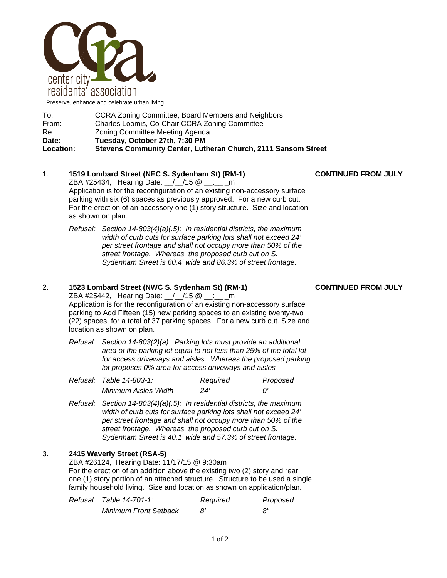

Preserve, enhance and celebrate urban living

| To:              | CCRA Zoning Committee, Board Members and Neighbors            |
|------------------|---------------------------------------------------------------|
| From:            | Charles Loomis, Co-Chair CCRA Zoning Committee                |
| Re:              | Zoning Committee Meeting Agenda                               |
| Date:            | Tuesday, October 27th, 7:30 PM                                |
| <b>Location:</b> | Stevens Community Center, Lutheran Church, 2111 Sansom Street |

# 1. **1519 Lombard Street (NEC S. Sydenham St) (RM-1) CONTINUED FROM JULY**

ZBA #25434, Hearing Date: \_\_/\_\_/15 @ \_\_:\_\_ \_m Application is for the reconfiguration of an existing non-accessory surface parking with six (6) spaces as previously approved. For a new curb cut. For the erection of an accessory one (1) story structure. Size and location as shown on plan.

*Refusal: Section 14-803(4)(a)(.5): In residential districts, the maximum width of curb cuts for surface parking lots shall not exceed 24' per street frontage and shall not occupy more than 50% of the street frontage. Whereas, the proposed curb cut on S. Sydenham Street is 60.4' wide and 86.3% of street frontage.* 

# 2. **1523 Lombard Street (NWC S. Sydenham St) (RM-1) CONTINUED FROM JULY**

ZBA #25442, Hearing Date: 1.15 @ 1:10 Application is for the reconfiguration of an existing non-accessory surface parking to Add Fifteen (15) new parking spaces to an existing twenty-two (22) spaces, for a total of 37 parking spaces. For a new curb cut. Size and location as shown on plan.

*Refusal: Section 14-803(2)(a): Parking lots must provide an additional area of the parking lot equal to not less than 25% of the total lot for access driveways and aisles. Whereas the proposed parking lot proposes 0% area for access driveways and aisles* 

| Refusal: Table 14-803-1: | Required | Proposed |
|--------------------------|----------|----------|
| Minimum Aisles Width     | 24'      |          |

*Refusal: Section 14-803(4)(a)(.5): In residential districts, the maximum width of curb cuts for surface parking lots shall not exceed 24' per street frontage and shall not occupy more than 50% of the street frontage. Whereas, the proposed curb cut on S. Sydenham Street is 40.1' wide and 57.3% of street frontage.* 

# 3. **2415 Waverly Street (RSA-5)**

ZBA #26124, Hearing Date: 11/17/15 @ 9:30am For the erection of an addition above the existing two (2) story and rear one (1) story portion of an attached structure. Structure to be used a single family household living. Size and location as shown on application/plan.

| Refusal: Table 14-701-1:     | Required | Proposed |
|------------------------------|----------|----------|
| <b>Minimum Front Setback</b> |          | 8"       |